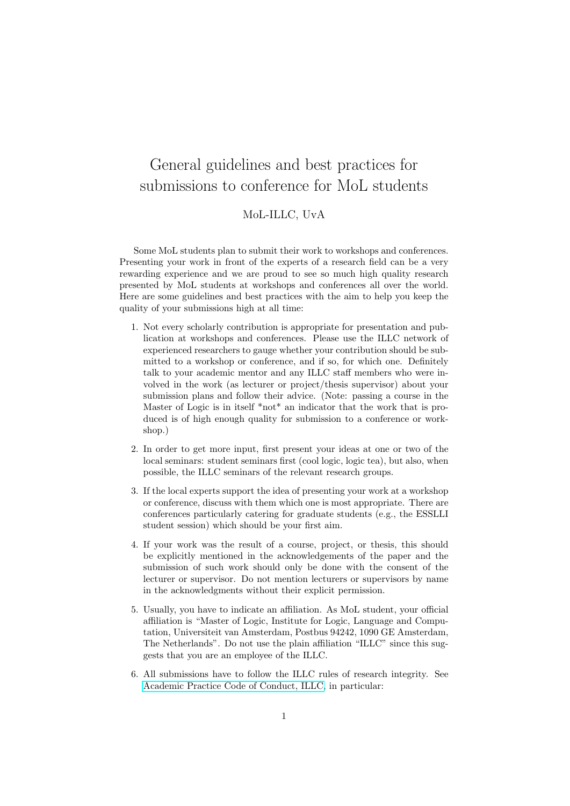## General guidelines and best practices for submissions to conference for MoL students

MoL-ILLC, UvA

Some MoL students plan to submit their work to workshops and conferences. Presenting your work in front of the experts of a research field can be a very rewarding experience and we are proud to see so much high quality research presented by MoL students at workshops and conferences all over the world. Here are some guidelines and best practices with the aim to help you keep the quality of your submissions high at all time:

- 1. Not every scholarly contribution is appropriate for presentation and publication at workshops and conferences. Please use the ILLC network of experienced researchers to gauge whether your contribution should be submitted to a workshop or conference, and if so, for which one. Definitely talk to your academic mentor and any ILLC staff members who were involved in the work (as lecturer or project/thesis supervisor) about your submission plans and follow their advice. (Note: passing a course in the Master of Logic is in itself \*not\* an indicator that the work that is produced is of high enough quality for submission to a conference or workshop.)
- 2. In order to get more input, first present your ideas at one or two of the local seminars: student seminars first (cool logic, logic tea), but also, when possible, the ILLC seminars of the relevant research groups.
- 3. If the local experts support the idea of presenting your work at a workshop or conference, discuss with them which one is most appropriate. There are conferences particularly catering for graduate students (e.g., the ESSLLI student session) which should be your first aim.
- 4. If your work was the result of a course, project, or thesis, this should be explicitly mentioned in the acknowledgements of the paper and the submission of such work should only be done with the consent of the lecturer or supervisor. Do not mention lecturers or supervisors by name in the acknowledgments without their explicit permission.
- 5. Usually, you have to indicate an affiliation. As MoL student, your official affiliation is "Master of Logic, Institute for Logic, Language and Computation, Universiteit van Amsterdam, Postbus 94242, 1090 GE Amsterdam, The Netherlands". Do not use the plain affiliation "ILLC" since this suggests that you are an employee of the ILLC.
- 6. All submissions have to follow the ILLC rules of research integrity. See [Academic Practice Code of Conduct, ILLC,](https://www.illc.uva.nl/Research/Other-Links/Scientific-Integrity/) in particular: